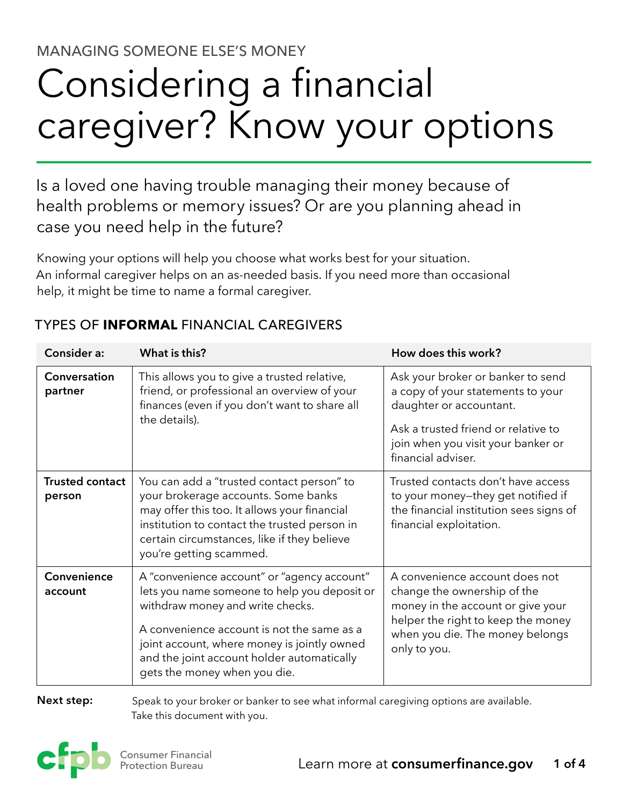MANAGING SOMEONE ELSE'S MONEY

# Considering a financial caregiver? Know your options

Is a loved one having trouble managing their money because of health problems or memory issues? Or are you planning ahead in case you need help in the future?

Knowing your options will help you choose what works best for your situation. An informal caregiver helps on an as-needed basis. If you need more than occasional help, it might be time to name a formal caregiver.

| Consider a:                      | What is this?                                                                                                                                                                                                                                                                                              | How does this work?                                                                                                                                                                                  |  |
|----------------------------------|------------------------------------------------------------------------------------------------------------------------------------------------------------------------------------------------------------------------------------------------------------------------------------------------------------|------------------------------------------------------------------------------------------------------------------------------------------------------------------------------------------------------|--|
| Conversation<br>partner          | This allows you to give a trusted relative,<br>friend, or professional an overview of your<br>finances (even if you don't want to share all<br>the details).                                                                                                                                               | Ask your broker or banker to send<br>a copy of your statements to your<br>daughter or accountant.<br>Ask a trusted friend or relative to<br>join when you visit your banker or<br>financial adviser. |  |
| <b>Trusted contact</b><br>person | You can add a "trusted contact person" to<br>your brokerage accounts. Some banks<br>may offer this too. It allows your financial<br>institution to contact the trusted person in<br>certain circumstances, like if they believe<br>you're getting scammed.                                                 | Trusted contacts don't have access<br>to your money-they get notified if<br>the financial institution sees signs of<br>financial exploitation.                                                       |  |
| Convenience<br>account           | A "convenience account" or "agency account"<br>lets you name someone to help you deposit or<br>withdraw money and write checks.<br>A convenience account is not the same as a<br>joint account, where money is jointly owned<br>and the joint account holder automatically<br>gets the money when you die. | A convenience account does not<br>change the ownership of the<br>money in the account or give your<br>helper the right to keep the money<br>when you die. The money belongs<br>only to you.          |  |

## TYPES OF **INFORMAL** FINANCIAL CAREGIVERS

**Next step:**

 Speak to your broker or banker to see what informal caregiving options are available. Take this document with you.

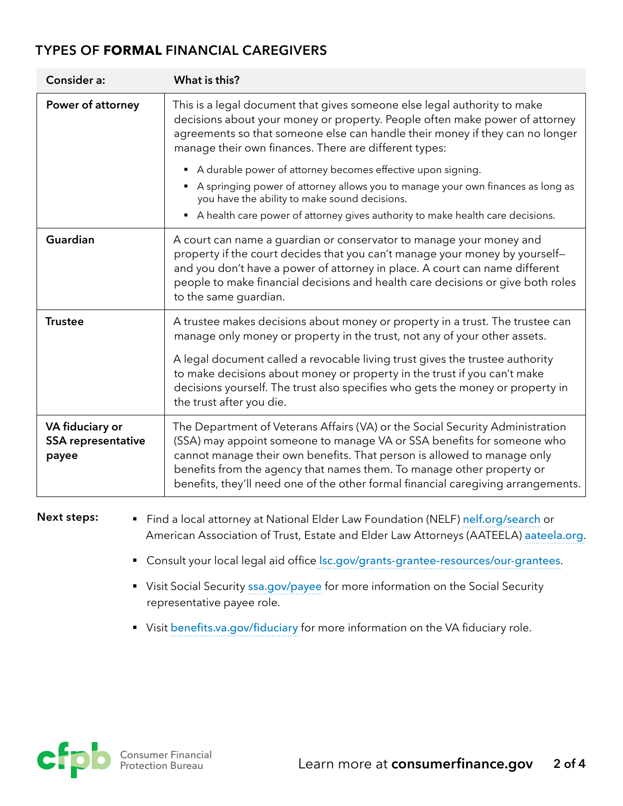#### **TYPES OF FORMAL FINANCIAL CAREGIVERS**

| Consider a:                                           | What is this?                                                                                                                                                                                                                                                                                                                                                                                                                                                        |
|-------------------------------------------------------|----------------------------------------------------------------------------------------------------------------------------------------------------------------------------------------------------------------------------------------------------------------------------------------------------------------------------------------------------------------------------------------------------------------------------------------------------------------------|
| Power of attorney                                     | This is a legal document that gives someone else legal authority to make<br>decisions about your money or property. People often make power of attorney<br>agreements so that someone else can handle their money if they can no longer<br>manage their own finances. There are different types:<br>A durable power of attorney becomes effective upon signing.<br>$\blacksquare$<br>A springing power of attorney allows you to manage your own finances as long as |
|                                                       | you have the ability to make sound decisions.<br>A health care power of attorney gives authority to make health care decisions.                                                                                                                                                                                                                                                                                                                                      |
| Guardian                                              | A court can name a guardian or conservator to manage your money and<br>property if the court decides that you can't manage your money by yourself-<br>and you don't have a power of attorney in place. A court can name different<br>people to make financial decisions and health care decisions or give both roles<br>to the same guardian.                                                                                                                        |
| <b>Trustee</b>                                        | A trustee makes decisions about money or property in a trust. The trustee can<br>manage only money or property in the trust, not any of your other assets.                                                                                                                                                                                                                                                                                                           |
|                                                       | A legal document called a revocable living trust gives the trustee authority<br>to make decisions about money or property in the trust if you can't make<br>decisions yourself. The trust also specifies who gets the money or property in<br>the trust after you die.                                                                                                                                                                                               |
| VA fiduciary or<br><b>SSA representative</b><br>payee | The Department of Veterans Affairs (VA) or the Social Security Administration<br>(SSA) may appoint someone to manage VA or SSA benefits for someone who<br>cannot manage their own benefits. That person is allowed to manage only<br>benefits from the agency that names them. To manage other property or<br>benefits, they'll need one of the other formal financial caregiving arrangements.                                                                     |
| <b>Next steps:</b><br>$\blacksquare$                  | Find a local attorney at National Elder Law Foundation (NELF) nelf.org/search or<br>American Association of Trust, Estate and Elder Law Attorneys (AATEELA) aateela.org.                                                                                                                                                                                                                                                                                             |

- § Consult [your local legal aid office](https://www.lsc.gov/grants-grantee-resources/our-grantees) [lsc.gov/grants-grantee-resources/our-grantees](https://lsc.gov/grants-grantee-resources/our-grantees).
- Visit Social Security [ssa.gov/payee](https://ssa.gov/payee) for more information on the Social Security representative payee role.
- § Visit [benefits.va.gov/fiduciary](https://www.benefits.va.gov/fiduciary) for more information on the VA fiduciary role.

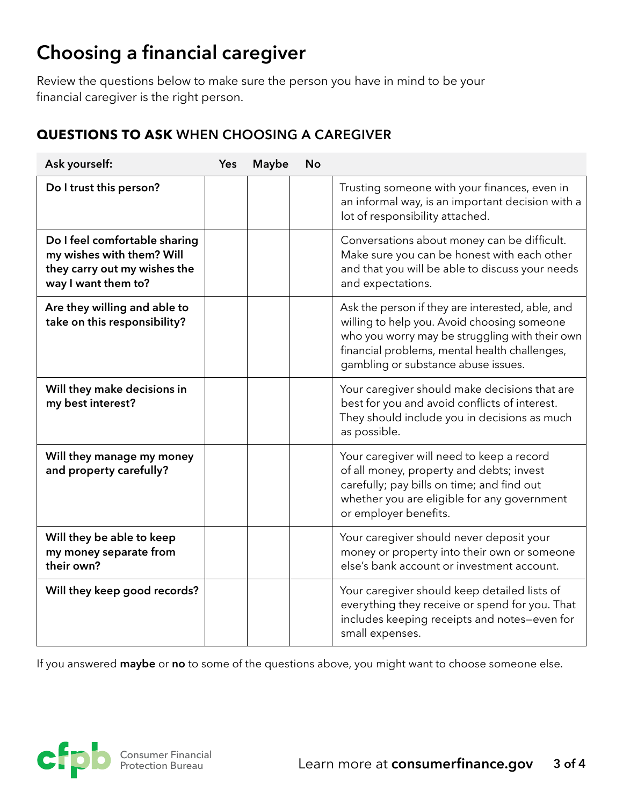## **Choosing a financial caregiver**

Review the questions below to make sure the person you have in mind to be your financial caregiver is the right person.

### **QUESTIONS TO ASK WHEN CHOOSING A CAREGIVER**

| Ask yourself:                                                                                                     | <b>Yes</b> | <b>Maybe</b> | <b>No</b> |                                                                                                                                                                                                                                           |
|-------------------------------------------------------------------------------------------------------------------|------------|--------------|-----------|-------------------------------------------------------------------------------------------------------------------------------------------------------------------------------------------------------------------------------------------|
| Do I trust this person?                                                                                           |            |              |           | Trusting someone with your finances, even in<br>an informal way, is an important decision with a<br>lot of responsibility attached.                                                                                                       |
| Do I feel comfortable sharing<br>my wishes with them? Will<br>they carry out my wishes the<br>way I want them to? |            |              |           | Conversations about money can be difficult.<br>Make sure you can be honest with each other<br>and that you will be able to discuss your needs<br>and expectations.                                                                        |
| Are they willing and able to<br>take on this responsibility?                                                      |            |              |           | Ask the person if they are interested, able, and<br>willing to help you. Avoid choosing someone<br>who you worry may be struggling with their own<br>financial problems, mental health challenges,<br>gambling or substance abuse issues. |
| Will they make decisions in<br>my best interest?                                                                  |            |              |           | Your caregiver should make decisions that are<br>best for you and avoid conflicts of interest.<br>They should include you in decisions as much<br>as possible.                                                                            |
| Will they manage my money<br>and property carefully?                                                              |            |              |           | Your caregiver will need to keep a record<br>of all money, property and debts; invest<br>carefully; pay bills on time; and find out<br>whether you are eligible for any government<br>or employer benefits.                               |
| Will they be able to keep<br>my money separate from<br>their own?                                                 |            |              |           | Your caregiver should never deposit your<br>money or property into their own or someone<br>else's bank account or investment account.                                                                                                     |
| Will they keep good records?                                                                                      |            |              |           | Your caregiver should keep detailed lists of<br>everything they receive or spend for you. That<br>includes keeping receipts and notes-even for<br>small expenses.                                                                         |

If you answered **maybe** or **no** to some of the questions above, you might want to choose someone else.